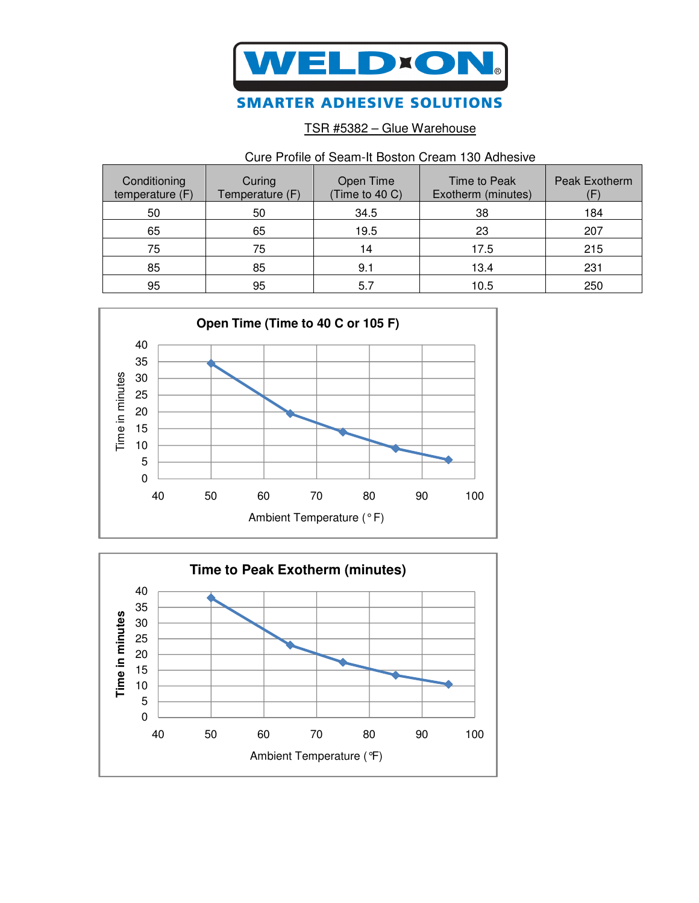

## **SMARTER ADHESIVE SOLUTIONS**

TSR #5382 – Glue Warehouse

## Cure Profile of Seam-It Boston Cream 130 Adhesive

| Conditioning<br>temperature (F) | Curing<br>Temperature (F) | Open Time<br>(Time to 40 C) | Time to Peak<br>Exotherm (minutes) | Peak Exotherm |
|---------------------------------|---------------------------|-----------------------------|------------------------------------|---------------|
| 50                              | 50                        | 34.5                        | 38                                 | 184           |
| 65                              | 65                        | 19.5                        | 23                                 | 207           |
| 75                              | 75                        | 14                          | 17.5                               | 215           |
| 85                              | 85                        | 9.1                         | 13.4                               | 231           |
| 95                              | 95                        | 5.7                         | 10.5                               | 250           |



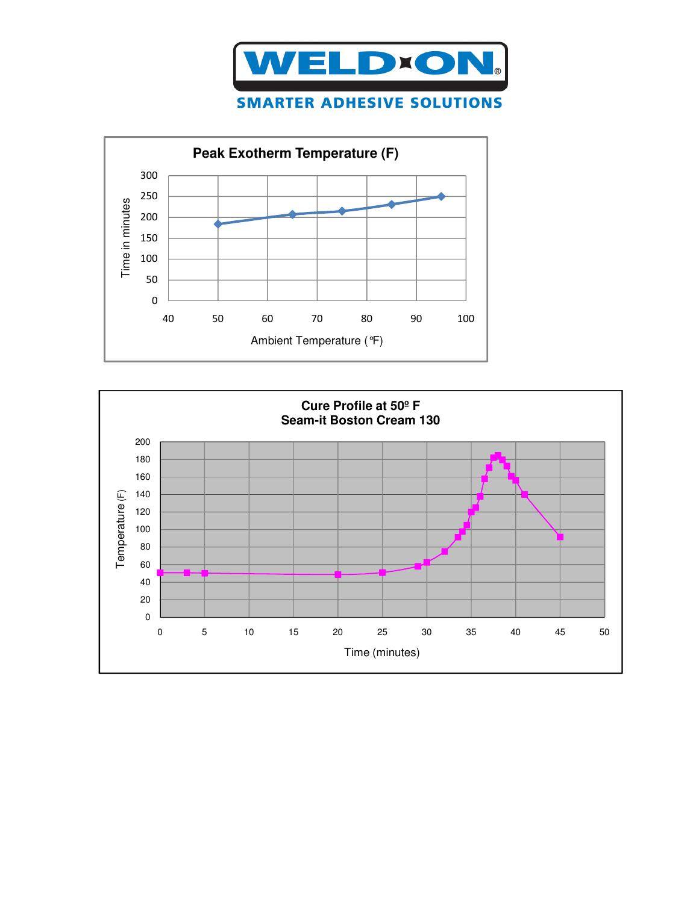



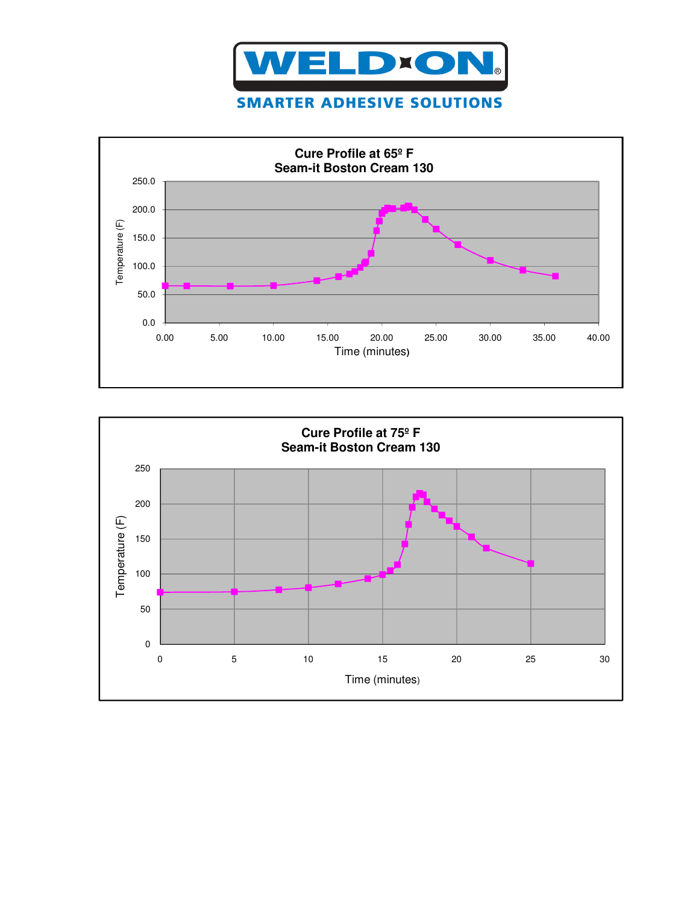